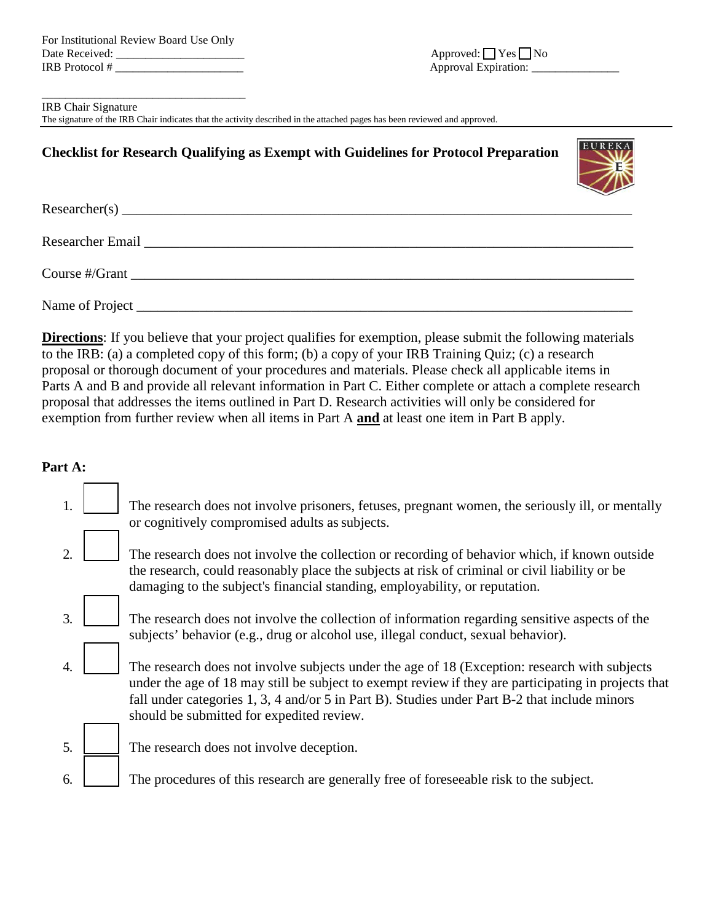For Institutional Review Board Use Only Date Received: \_\_\_\_\_\_\_\_\_\_\_\_\_\_\_\_\_\_\_\_\_\_ Approved: \_\_ Yes \_\_ No IRB Protocol # \_\_\_\_\_\_\_\_\_\_\_\_\_\_\_\_\_\_\_\_\_\_ Approval Expiration: \_\_\_\_\_\_\_\_\_\_\_\_\_\_\_

\_\_\_\_\_\_\_\_\_\_\_\_\_\_\_\_\_\_\_\_\_\_\_\_\_\_\_\_\_\_\_\_\_\_\_

IRB Chair Signature

The signature of the IRB Chair indicates that the activity described in the attached pages has been reviewed and approved.

# **Checklist for Research Qualifying as Exempt with Guidelines for Protocol Preparation**



**Directions**: If you believe that your project qualifies for exemption, please submit the following materials to the IRB: (a) a completed copy of this form; (b) a copy of your IRB Training Quiz; (c) a research proposal or thorough document of your procedures and materials. Please check all applicable items in Parts A and B and provide all relevant information in Part C. Either complete or attach a complete research proposal that addresses the items outlined in Part D. Research activities will only be considered for exemption from further review when all items in Part A **and** at least one item in Part B apply.

### **Part A:**

|    | The research does not involve prisoners, fetuses, pregnant women, the seriously ill, or mentally<br>or cognitively compromised adults as subjects.                                                                                                                                                                                                  |
|----|-----------------------------------------------------------------------------------------------------------------------------------------------------------------------------------------------------------------------------------------------------------------------------------------------------------------------------------------------------|
| 2  | The research does not involve the collection or recording of behavior which, if known outside<br>the research, could reasonably place the subjects at risk of criminal or civil liability or be<br>damaging to the subject's financial standing, employability, or reputation.                                                                      |
| 3. | The research does not involve the collection of information regarding sensitive aspects of the<br>subjects' behavior (e.g., drug or alcohol use, illegal conduct, sexual behavior).                                                                                                                                                                 |
| 4. | The research does not involve subjects under the age of 18 (Exception: research with subjects<br>under the age of 18 may still be subject to exempt review if they are participating in projects that<br>fall under categories 1, 3, 4 and/or 5 in Part B). Studies under Part B-2 that include minors<br>should be submitted for expedited review. |
| 5. | The research does not involve deception.                                                                                                                                                                                                                                                                                                            |
| 6. | The procedures of this research are generally free of foreseeable risk to the subject.                                                                                                                                                                                                                                                              |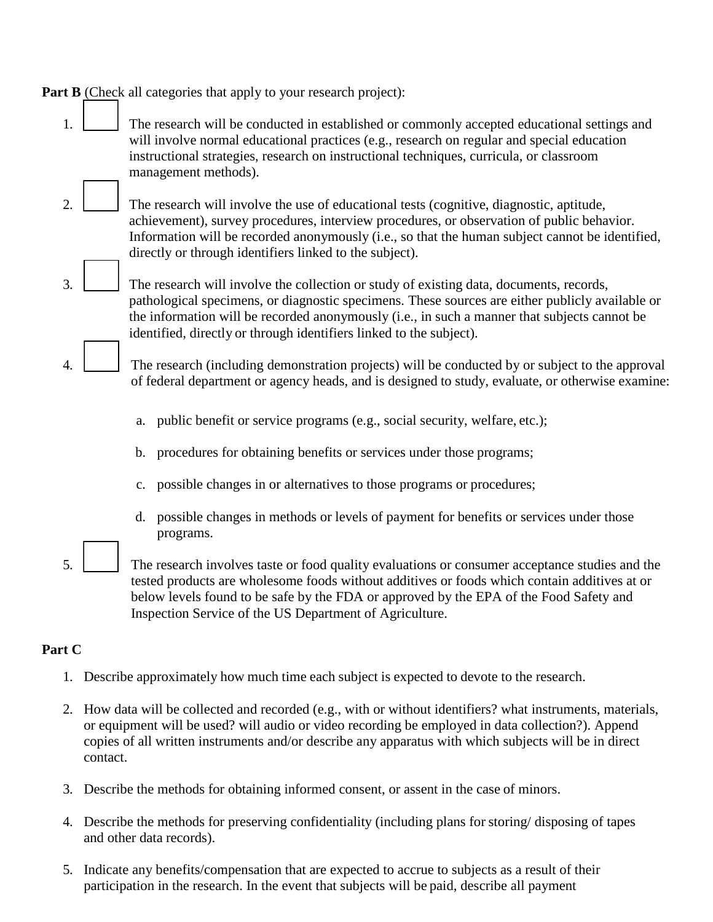**Part B** (Check all categories that apply to your research project):

- 1. The research will be conducted in established or commonly accepted educational settings and will involve normal educational practices (e.g., research on regular and special education instructional strategies, research on instructional techniques, curricula, or classroom management methods).
- 2. The research will involve the use of educational tests (cognitive, diagnostic, aptitude, achievement), survey procedures, interview procedures, or observation of public behavior. Information will be recorded anonymously (i.e., so that the human subject cannot be identified, directly or through identifiers linked to the subject).
- $3.$   $\blacksquare$  The research will involve the collection or study of existing data, documents, records, pathological specimens, or diagnostic specimens. These sources are either publicly available or the information will be recorded anonymously (i.e., in such a manner that subjects cannot be identified, directly or through identifiers linked to the subject).
	- The research (including demonstration projects) will be conducted by or subject to the approval of federal department or agency heads, and is designed to study, evaluate, or otherwise examine:
		- a. public benefit or service programs (e.g., social security, welfare, etc.);
		- b. procedures for obtaining benefits or services under those programs;
		- c. possible changes in or alternatives to those programs or procedures;
		- d. possible changes in methods or levels of payment for benefits or services under those programs.
- 5. The research involves taste or food quality evaluations or consumer acceptance studies and the tested products are wholesome foods without additives or foods which contain additives at or below levels found to be safe by the FDA or approved by the EPA of the Food Safety and Inspection Service of the US Department of Agriculture.

# **Part C**

- 1. Describe approximately how much time each subject is expected to devote to the research.
- 2. How data will be collected and recorded (e.g., with or without identifiers? what instruments, materials, or equipment will be used? will audio or video recording be employed in data collection?). Append copies of all written instruments and/or describe any apparatus with which subjects will be in direct contact.
- 3. Describe the methods for obtaining informed consent, or assent in the case of minors.
- 4. Describe the methods for preserving confidentiality (including plans for storing/ disposing of tapes and other data records).
- 5. Indicate any benefits/compensation that are expected to accrue to subjects as a result of their participation in the research. In the event that subjects will be paid, describe all payment